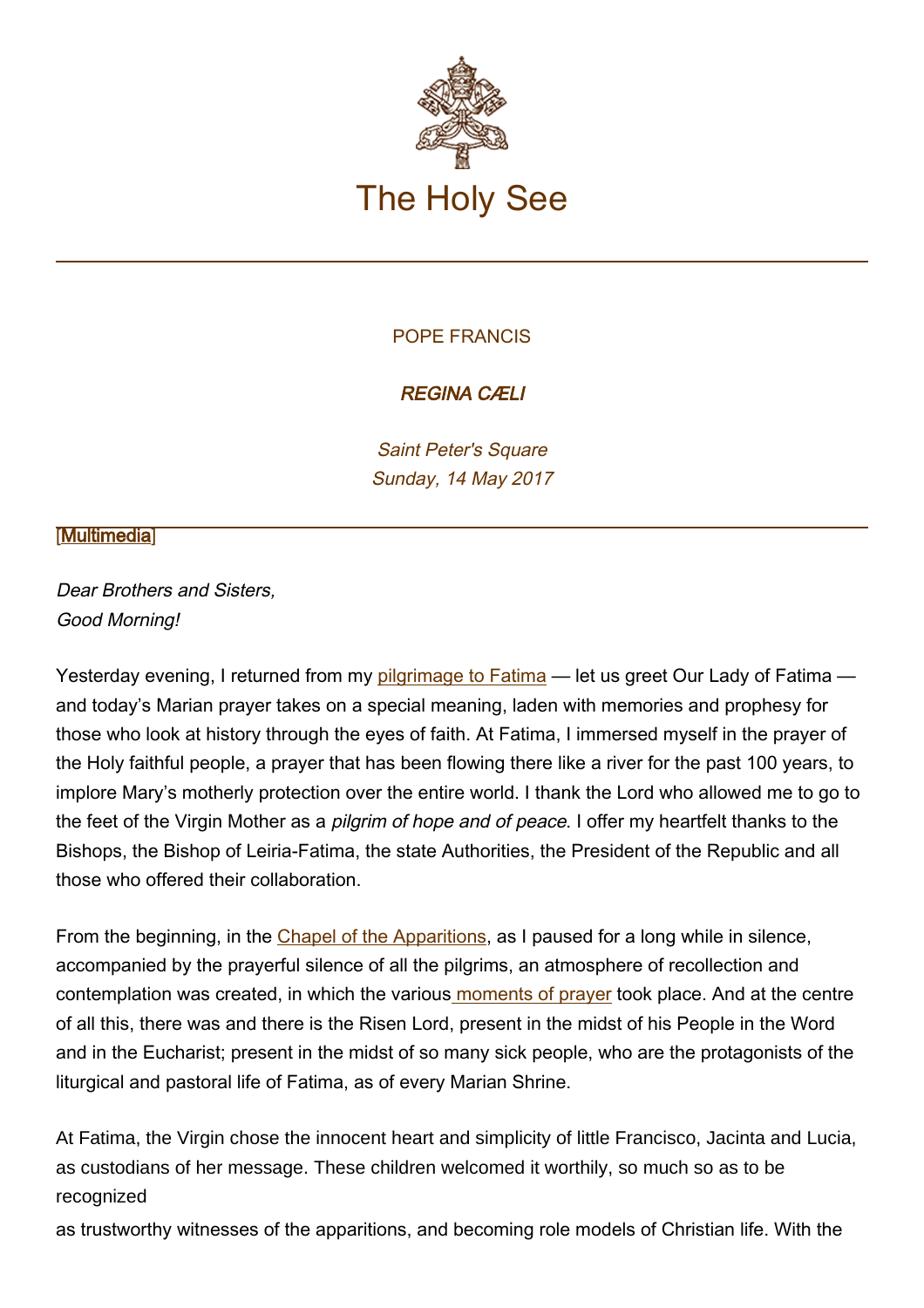

## POPE FRANCIS

## REGINA CÆLI

Saint Peter's Square Sunday, 14 May 2017

## **[\[Multimedia](http://w2.vatican.va/content/francesco/en/events/event.dir.html/content/vaticanevents/en/2017/5/14/reginacoeli.html)]**

Dear Brothers and Sisters, Good Morning!

Yesterday evening, I returned from my [pilgrimage to Fatima](http://w2.vatican.va/content/francesco/en/travels/2017/outside/documents/papa-francesco-fatima_2017.html) — let us greet Our Lady of Fatima and today's Marian prayer takes on a special meaning, laden with memories and prophesy for those who look at history through the eyes of faith. At Fatima, I immersed myself in the prayer of the Holy faithful people, a prayer that has been flowing there like a river for the past 100 years, to implore Mary's motherly protection over the entire world. I thank the Lord who allowed me to go to the feet of the Virgin Mother as a *pilgrim of hope and of peace*. I offer my heartfelt thanks to the Bishops, the Bishop of Leiria-Fatima, the state Authorities, the President of the Republic and all those who offered their collaboration.

From the beginning, in the [Chapel of the Apparitions](http://w2.vatican.va/content/francesco/en/events/event.dir.html/content/vaticanevents/en/2017/5/12/preghiera-fatima.html), as I paused for a long while in silence, accompanied by the prayerful silence of all the pilgrims, an atmosphere of recollection and contemplation was created, in which the various [moments of prayer](http://w2.vatican.va/content/francesco/en/events/event.dir.html/content/vaticanevents/en/2017/5/12/benedizionecandele-fatima.html) took place. And at the centre of all this, there was and there is the Risen Lord, present in the midst of his People in the Word and in the Eucharist; present in the midst of so many sick people, who are the protagonists of the liturgical and pastoral life of Fatima, as of every Marian Shrine.

At Fatima, the Virgin chose the innocent heart and simplicity of little Francisco, Jacinta and Lucia, as custodians of her message. These children welcomed it worthily, so much so as to be recognized

as trustworthy witnesses of the apparitions, and becoming role models of Christian life. With the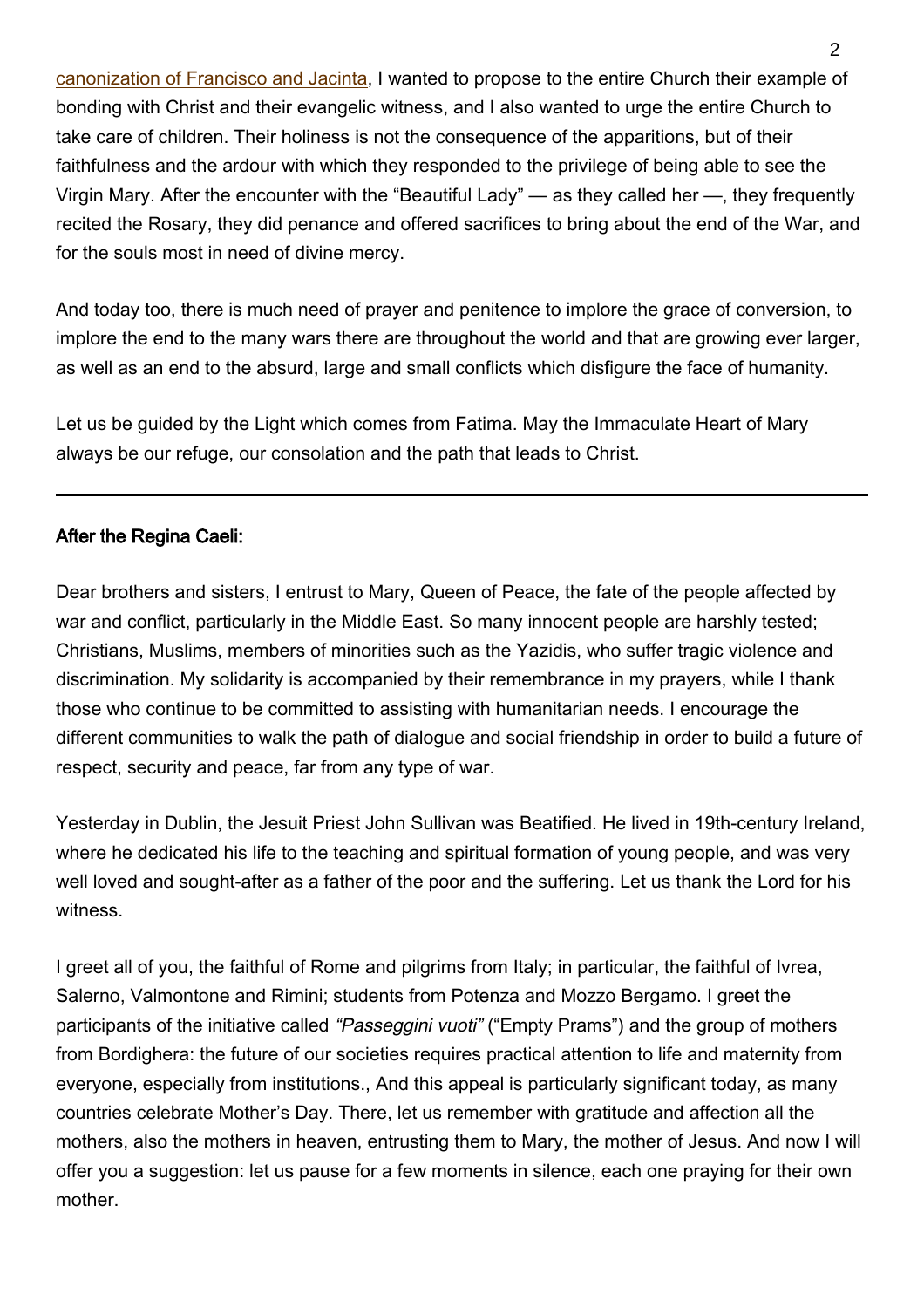[canonization of Francisco and Jacinta,](http://w2.vatican.va/content/francesco/en/events/event.dir.html/content/vaticanevents/en/2017/5/13/omelia-pellegrinaggio-fatima.html) I wanted to propose to the entire Church their example of bonding with Christ and their evangelic witness, and I also wanted to urge the entire Church to take care of children. Their holiness is not the consequence of the apparitions, but of their faithfulness and the ardour with which they responded to the privilege of being able to see the Virgin Mary. After the encounter with the "Beautiful Lady" — as they called her —, they frequently recited the Rosary, they did penance and offered sacrifices to bring about the end of the War, and for the souls most in need of divine mercy.

And today too, there is much need of prayer and penitence to implore the grace of conversion, to implore the end to the many wars there are throughout the world and that are growing ever larger, as well as an end to the absurd, large and small conflicts which disfigure the face of humanity.

Let us be guided by the Light which comes from Fatima. May the Immaculate Heart of Mary always be our refuge, our consolation and the path that leads to Christ.

## After the Regina Caeli:

Dear brothers and sisters, I entrust to Mary, Queen of Peace, the fate of the people affected by war and conflict, particularly in the Middle East. So many innocent people are harshly tested; Christians, Muslims, members of minorities such as the Yazidis, who suffer tragic violence and discrimination. My solidarity is accompanied by their remembrance in my prayers, while I thank those who continue to be committed to assisting with humanitarian needs. I encourage the different communities to walk the path of dialogue and social friendship in order to build a future of respect, security and peace, far from any type of war.

Yesterday in Dublin, the Jesuit Priest John Sullivan was Beatified. He lived in 19th-century Ireland, where he dedicated his life to the teaching and spiritual formation of young people, and was very well loved and sought-after as a father of the poor and the suffering. Let us thank the Lord for his witness.

I greet all of you, the faithful of Rome and pilgrims from Italy; in particular, the faithful of Ivrea, Salerno, Valmontone and Rimini; students from Potenza and Mozzo Bergamo. I greet the participants of the initiative called "Passeggini vuoti" ("Empty Prams") and the group of mothers from Bordighera: the future of our societies requires practical attention to life and maternity from everyone, especially from institutions., And this appeal is particularly significant today, as many countries celebrate Mother's Day. There, let us remember with gratitude and affection all the mothers, also the mothers in heaven, entrusting them to Mary, the mother of Jesus. And now I will offer you a suggestion: let us pause for a few moments in silence, each one praying for their own mother.